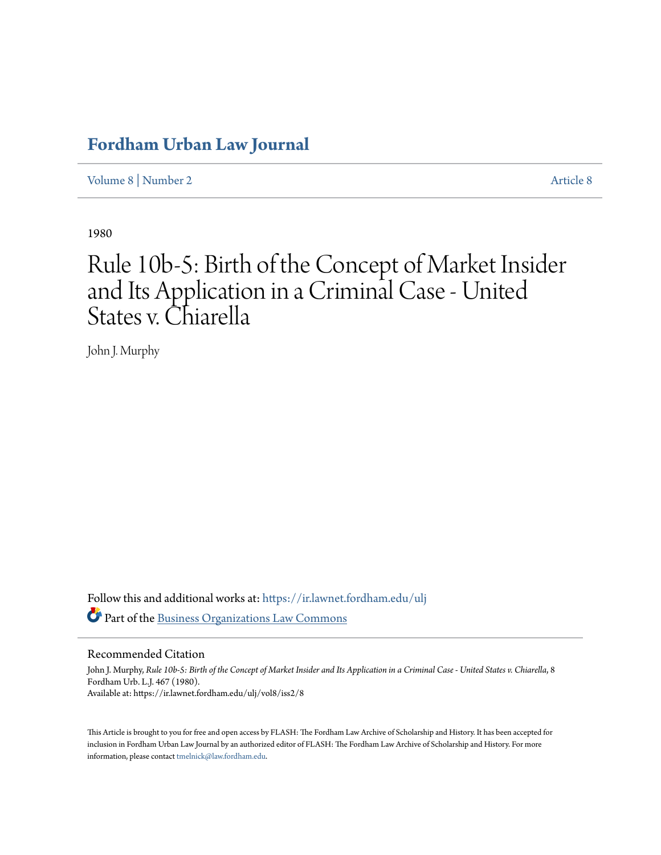# **[Fordham Urban Law Journal](https://ir.lawnet.fordham.edu/ulj?utm_source=ir.lawnet.fordham.edu%2Fulj%2Fvol8%2Fiss2%2F8&utm_medium=PDF&utm_campaign=PDFCoverPages)**

[Volume 8](https://ir.lawnet.fordham.edu/ulj/vol8?utm_source=ir.lawnet.fordham.edu%2Fulj%2Fvol8%2Fiss2%2F8&utm_medium=PDF&utm_campaign=PDFCoverPages) | [Number 2](https://ir.lawnet.fordham.edu/ulj/vol8/iss2?utm_source=ir.lawnet.fordham.edu%2Fulj%2Fvol8%2Fiss2%2F8&utm_medium=PDF&utm_campaign=PDFCoverPages) [Article 8](https://ir.lawnet.fordham.edu/ulj/vol8/iss2/8?utm_source=ir.lawnet.fordham.edu%2Fulj%2Fvol8%2Fiss2%2F8&utm_medium=PDF&utm_campaign=PDFCoverPages)

1980

# Rule 10b-5: Birth of the Concept of Market Insider and Its Application in a Criminal Case - United States v. Chiarella

John J. Murphy

Follow this and additional works at: [https://ir.lawnet.fordham.edu/ulj](https://ir.lawnet.fordham.edu/ulj?utm_source=ir.lawnet.fordham.edu%2Fulj%2Fvol8%2Fiss2%2F8&utm_medium=PDF&utm_campaign=PDFCoverPages) Part of the [Business Organizations Law Commons](http://network.bepress.com/hgg/discipline/900?utm_source=ir.lawnet.fordham.edu%2Fulj%2Fvol8%2Fiss2%2F8&utm_medium=PDF&utm_campaign=PDFCoverPages)

# Recommended Citation

John J. Murphy, Rule 10b-5: Birth of the Concept of Market Insider and Its Application in a Criminal Case - United States v. Chiarella, 8 Fordham Urb. L.J. 467 (1980). Available at: https://ir.lawnet.fordham.edu/ulj/vol8/iss2/8

This Article is brought to you for free and open access by FLASH: The Fordham Law Archive of Scholarship and History. It has been accepted for inclusion in Fordham Urban Law Journal by an authorized editor of FLASH: The Fordham Law Archive of Scholarship and History. For more information, please contact [tmelnick@law.fordham.edu](mailto:tmelnick@law.fordham.edu).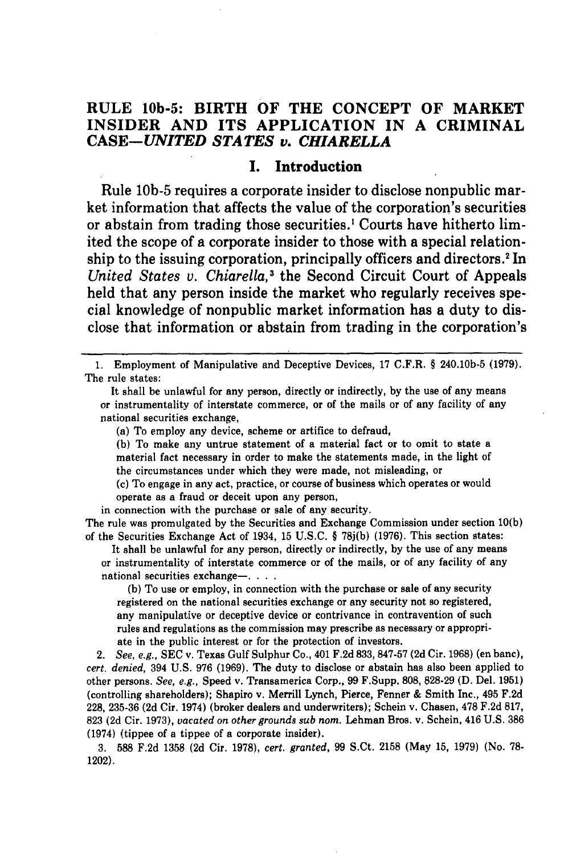# **RULE 10b-5: BIRTH OF THE CONCEPT OF MARKET INSIDER AND ITS APPLICATION IN A CRIMINAL** *CASE-UNITED STATES v. CHIARELLA*

#### **I. Introduction**

Rule **10b-5** requires a corporate insider to disclose nonpublic market information that affects the value of the corporation's securities or abstain from trading those securities.' Courts have hitherto limited the scope of a corporate insider to those with a special relationship to the issuing corporation, principally officers and directors. 2 In *United States v. Chiarella,<sup>3</sup>* the Second Circuit Court of Appeals held that any person inside the market who regularly receives special knowledge of nonpublic market information has a duty to disclose that information or abstain from trading in the corporation's

1. Employment of Manipulative and Deceptive Devices, 17 C.F.R. **§** 240.10b-5 (1979). The rule states:

It shall be unlawful for any person, directly or indirectly, by the use of any means or instrumentality of interstate commerce, or of the mails or of any facility of any national securities exchange,

(a) To employ any device, scheme or artifice to defraud,

**(b)** To make any untrue statement of a material fact or to omit to state a material fact necessary in order to make the statements made, in the light of the circumstances under which they were made, not misleading, or

(c) To engage in any act, practice, or course of business which operates or would operate as a fraud or deceit upon any person,

in connection with the purchase or sale of any security.

The rule was promulgated by the Securities and Exchange Commission under section 10(b) of the Securities Exchange Act of 1934, 15 U.S.C. **§** 78j(b) (1976). This section states:

It shall be unlawful for any person, directly or indirectly, by the use of any means or instrumentality of interstate commerce or of the mails, or of any facility of any national securities exchange-....

(b) To use or employ, in connection with the purchase or sale of any security registered on the national securities exchange or any security not so registered, any manipulative or deceptive device or contrivance in contravention of such rules and regulations as the commission may prescribe as necessary or appropriate in the public interest or for the protection of investors.

*2. See, e.g.,* SEC v. Texas Gulf Sulphur Co., 401 F.2d 833, 847-57 (2d Cir. 1968) (en banc), *cert. denied,* 394 U.S. 976 (1969). The duty to disclose or abstain has also been applied to other persons. *See, e.g.,* Speed v. Transamerica Corp., 99 F.Supp. **808,** 828-29 (D. Del. 1951) (controlling shareholders); Shapiro v. Merrill Lynch, Pierce, Fenner & Smith Inc., 495 F.2d 228, 235-36 (2d Cir. 1974) (broker dealers and underwriters); Schein v. Chasen, 478 F.2d 817, 823 (2d Cir. 1973), *vacated on other grounds sub nom.* Lehman Bros. v. Schein, 416 U.S. 386 (1974) (tippee of a tippee of a corporate insider).

**3.** 588 F.2d 1358 (2d Cir. 1978), *cert. granted,* 99 S.Ct. 2158 (May 15, 1979) (No. 78- 1202).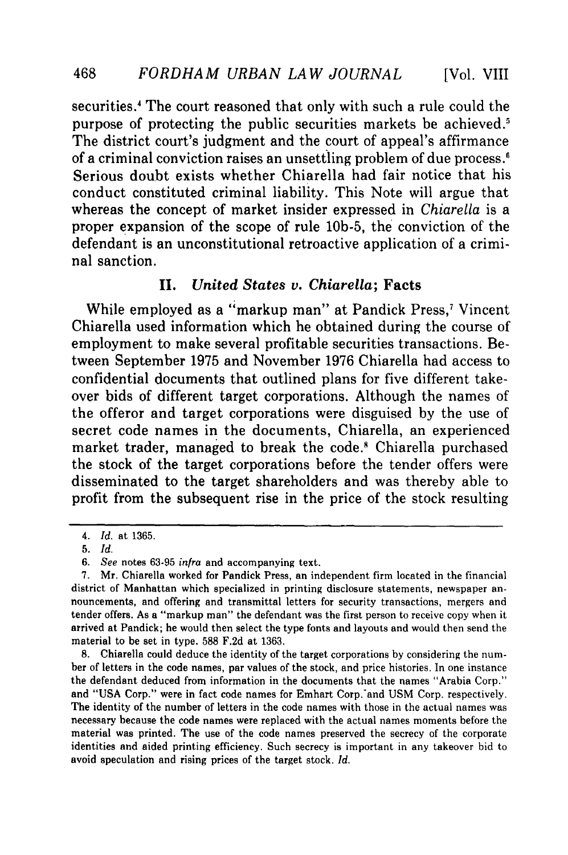securities.<sup>4</sup> The court reasoned that only with such a rule could the purpose of protecting the public securities markets be achieved.' The district court's judgment and the court of appeal's affirmance of a criminal conviction raises an unsettling problem of due process.' Serious doubt exists whether Chiarella had fair notice that his conduct constituted criminal liability. This Note will argue that whereas the concept of market insider expressed in *Chiarella* is a proper expansion of the scope of rule 10b-5, the conviction of the defendant is an unconstitutional retroactive application of a criminal sanction.

### **II.** *United States v. Chiarella;* Facts

While employed as a "markup man" at Pandick Press,<sup>7</sup> Vincent Chiarella used information which he obtained during the course of employment to make several profitable securities transactions. Between September 1975 and November 1976 Chiarella had access to confidential documents that outlined plans for five different takeover bids of different target corporations. Although the names of the offeror and target corporations were disguised by the use of secret code names in the documents, Chiarella, an experienced market trader, managed to break the code.' Chiarella purchased the stock of the target corporations before the tender offers were disseminated to the target shareholders and was thereby able to profit from the subsequent rise in the price of the stock resulting

8. Chiarella could deduce the identity of the target corporations by considering the number of letters in the code names, par values of the stock, and price histories. In one instance the defendant deduced from information in the documents that the names "Arabia Corp." and "USA Corp." were in fact code names for Emhart Corp.'and USM Corp. respectively. The identity of the number of letters in the code names with those in the actual names was necessary because the code names were replaced with the actual names moments before the material was printed. The use of the code names preserved the secrecy of the corporate identities and aided printing efficiency. Such secrecy is important in any takeover bid to avoid speculation and rising prices of the target stock. *Id.*

*<sup>4.</sup> Id.* at 1365.

<sup>5.</sup> *Id.*

*<sup>6.</sup> See* notes 63-95 *infra* and accompanying text.

<sup>7.</sup> Mr. Chiarella worked for Pandick Press, an independent firm located in the financial district of Manhattan which specialized in printing disclosure statements, newspaper announcements, and offering and transmittal letters for security transactions, mergers and tender offers. As a "markup man" the defendant was the first person to receive copy when it arrived at Pandick; he would then select the type fonts and layouts and would then send the material to be set in type. 588 F.2d at 1363.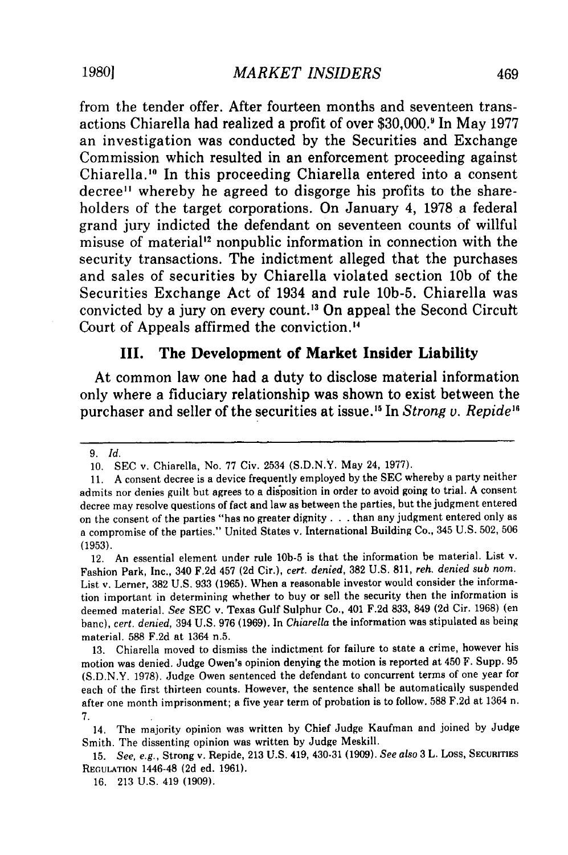from the tender offer. After fourteen months and seventeen transactions Chiarella had realized a profit of over **\$30,000.1** In May **1977** an investigation was conducted **by** the Securities and Exchange Commission which resulted in an enforcement proceeding against Chiarella.<sup>10</sup> In this proceeding Chiarella entered into a consent decree" whereby he agreed to disgorge his profits to the shareholders of the target corporations. On January 4, **1978** a federal grand jury indicted the defendant on seventeen counts of willful misuse of material<sup>12</sup> nonpublic information in connection with the security transactions. The indictment alleged that the purchases and sales of securities **by** Chiarella violated section **10b** of the Securities Exchange Act of 1934 and rule **10b-5.** Chiarella was convicted by a jury on every count.<sup>13</sup> On appeal the Second Circuit Court of Appeals affirmed the conviction.

# **III. The Development of Market Insider Liability**

**At common law one had a** duty to disclose material information **only where a** fiduciary relationship was shown to exist between the purchaser and seller of the securities at issue.<sup>15</sup> In *Strong v. Repide*<sup>16</sup>

12. An essential element under rule 10b-5 is that the information be material. List v. Fashion Park, Inc., 340 F.2d 457 **(2d** Cir.), *cert. denied,* 382 U.S. 811, *reh. denied sub nom.* List v. Lerner, 382 U.S. 933 (1965). When a reasonable investor would consider the information important in determining whether to buy or sell the security then the information is deemed material. *See* SEC v. Texas Gulf Sulphur Co., 401 F.2d 833, 849 (2d Cir. 1968) (en banc), *cert. denied,* 394 U.S. 976 **(1969).** In *Chiarella* the information was stipulated as being material. 588 F.2d at 1364 n.5.

13. Chiarella moved to dismiss the indictment for failure to state a crime, however his motion was denied. Judge Owen's opinion denying the motion is reported at 450 F. Supp. 95 (S.D.N.Y. 1978). Judge Owen sentenced the defendant to concurrent terms of one year for each of the first thirteen counts. However, the sentence shall be automatically suspended after one month imprisonment; a five year term of probation is to follow. 588 F.2d at 1364 n. 7.

14. The majority opinion was written by Chief Judge Kaufman and joined by Judge Smith. The dissenting opinion was written by Judge Meskill.

15. *See, e.g.,* Strong v. Repide, **213 U.S.** 419, 430-31 (1909). *See also* 3 L. Loss, **SECURITIES** REGULATION 1446-48 **(2d** ed. 1961).

16. 213 U.S. 419 (1909).

<sup>9.</sup> *Id.*

<sup>10.</sup> SEC v. Chiarella, No. 77 Civ. 2534 (S.D.N.Y. May 24, 1977).

<sup>11.</sup> A consent decree is a device frequently employed by the SEC whereby a party neither admits nor denies guilt but agrees to a disposition in order to avoid going to trial. A consent decree may resolve questions of fact and law as between the parties, but the judgment entered on the consent of the parties "has no greater dignity **...** than any judgment entered only as a compromise of the parties." United States v. International Building Co., 345 U.S. 502, 506 (1953).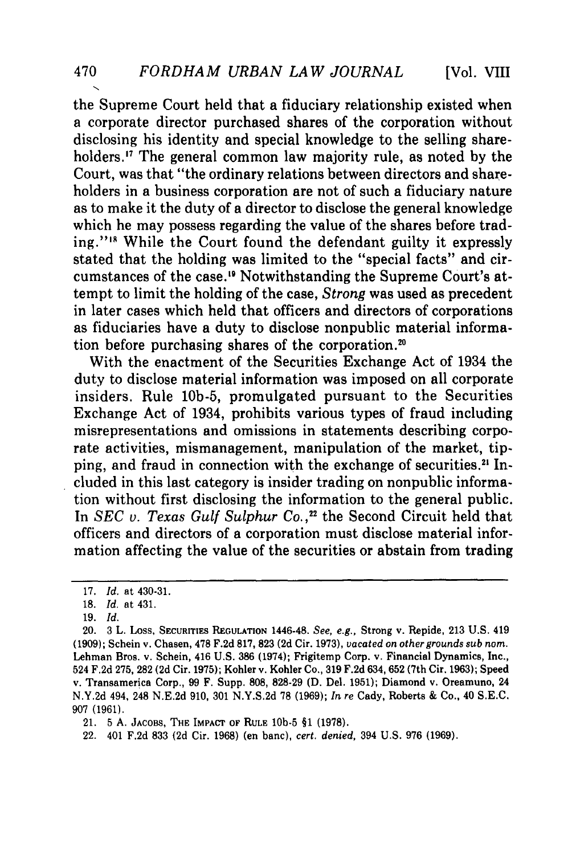**[Vol.** VIII

the Supreme Court held that a fiduciary relationship existed when a corporate director purchased shares of the corporation without disclosing his identity and special knowledge to the selling shareholders.<sup>17</sup> The general common law majority rule, as noted by the Court, was that "the ordinary relations between directors and shareholders in a business corporation are not of such a fiduciary nature as to make it the duty of a director to disclose the general knowledge which he may possess regarding the value of the shares before trading."<sup>18</sup> While the Court found the defendant guilty it expressly stated that the holding was limited to the "special facts" and circumstances of the case."9 Notwithstanding the Supreme Court's attempt to limit the holding of the case, *Strong* was used as precedent in later cases which held that officers and directors of corporations as fiduciaries have a duty to disclose nonpublic material information before purchasing shares of the corporation."

With the enactment of the Securities Exchange Act of 1934 the duty to disclose material information was imposed on all corporate insiders. Rule 10b-5, promulgated pursuant to the Securities Exchange Act of 1934, prohibits various types of fraud including misrepresentations and omissions in statements describing corporate activities, mismanagement, manipulation of the market, tipping, and fraud in connection with the exchange of securities.<sup>21</sup> Included in this last category is insider trading on nonpublic information without first disclosing the information to the general public. In *SEC v. Texas Gulf Sulphur Co.,22* the Second Circuit held that officers and directors of a corporation must disclose material information affecting the value of the securities or abstain from trading

<sup>17.</sup> *Id.* at 430-31.

<sup>18.</sup> *Id.* at 431.

<sup>19.</sup> *Id.*

<sup>20. 3</sup> L. Loss, **SECURITIES REGULATION** 1446-48. *See, e.g.,* Strong v. Repide, **213** U.S. 419 **(1909);** Schein v. Chasen, **478 F.2d 817, 823 (2d** Cir. **1973),** *vacated on* **other** *grounds sub nor.* Lehman Bros. v. Schein, 416 **U.S. 386** (1974); Frigitemp Corp. v. Financial Dynamics, Inc., 524 **F.2d 275, 282 (2d** Cir. **1975);** Kohler v. Kohler Co., **319 F.2d** 634, **652** (7th Cir. **1963);** Speed v. Transamerica Corp., **99** F. Supp. **808, 828-29 (D.** Del. **1951);** Diamond v. Oreamuno, 24 **N.Y.2d** 494, 248 **N.E.2d 910, 301 N.Y.S.2d 78 (1969);** *In re* Cady, Roberts **& Co.,** 40 **S.E.C. 907 (1961).**

<sup>21. 5</sup> **A. JACOBS, THE IMPACT OF RULE 10b-5** §1 **(1978).**

<sup>22. 401</sup> **F.2d 833 (2d** Cir. **1968)** (en banc), *cert. denied,* 394 **U.S. 976 (1969).**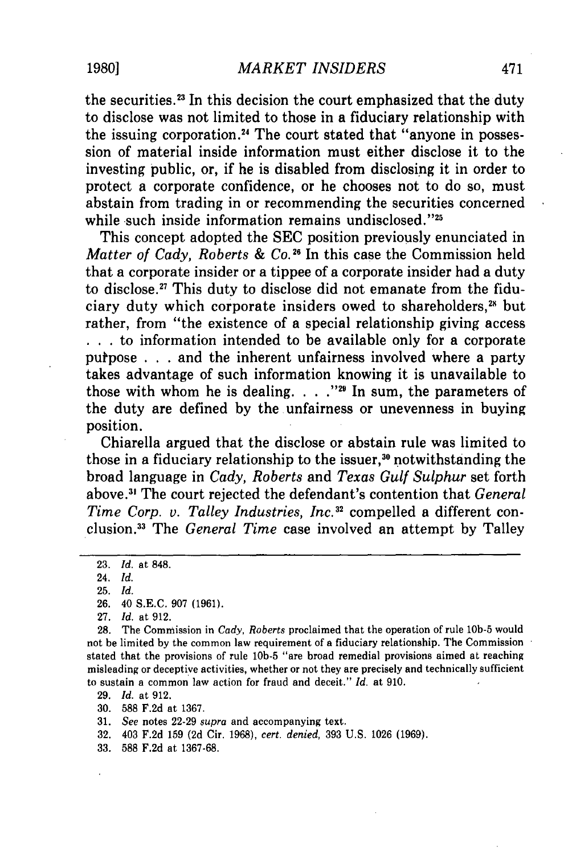the securities.<sup>23</sup> In this decision the court emphasized that the duty to disclose was not limited to those in a fiduciary relationship with the issuing corporation.<sup>24</sup> The court stated that "anyone in possession of material inside information must either disclose it to the investing public, or, if he is disabled from disclosing it in order to protect a corporate confidence, or he chooses not to do so, must abstain from trading in or recommending the securities concerned while such inside information remains undisclosed."<sup>25</sup>

This concept adopted the SEC position previously enunciated in *Matter of Cady, Roberts & Co.*<sup>26</sup> In this case the Commission held that a corporate insider or a tippee of a corporate insider had a duty to disclose.<sup>27</sup> This duty to disclose did not emanate from the fiduciary duty which corporate insiders owed to shareholders,<sup>28</sup> but rather, from "the existence of a special relationship giving access **.. .** to information intended to be available only for a corporate putpose . . . and the inherent unfairness involved where a party takes advantage of such information knowing it is unavailable to those with whom he is dealing. . . . "<sup>29</sup> In sum, the parameters of the duty are defined by the unfairness or unevenness in buying position.

Chiarella argued that the disclose or abstain rule was limited to those in a fiduciary relationship to the issuer, 30 notwithstanding the broad language in *Cady, Roberts* and *Texas Gulf Sulphur* set forth above. <sup>3</sup> ' The court rejected the defendant's contention that *General* Time Corp. v. Talley Industries, Inc.<sup>32</sup> compelled a different conclusion.3 3 The *General Time* case involved an attempt by Talley

25. *Id.*

26. 40 S.E.C. 907 (1961).

27. *Id.* at 912.

28. The Commission in *Cady, Roberts* proclaimed that the operation of rule **10b-5** would not be limited by the common law requirement of a fiduciary relationship. The Commission stated that the provisions of rule **10b-5** "are broad remedial provisions aimed at reaching misleading or deceptive activities, whether or not they are precisely and technically sufficient to sustain a common law action for fraud and deceit." *Id.* at 910.

29. *Id.* at 912.

30. 588 F.2d at 1367.

31. *See* notes 22-29 *supra* and accompanying text.

32. 403 F.2d 159 (2d Cir. 1968), *cert. denied,* 393 U.S. 1026 (1969).

33. 588 F.2d at 1367-68.

**1980]**

<sup>23.</sup> *Id.* at 848.

<sup>24.</sup> *Id.*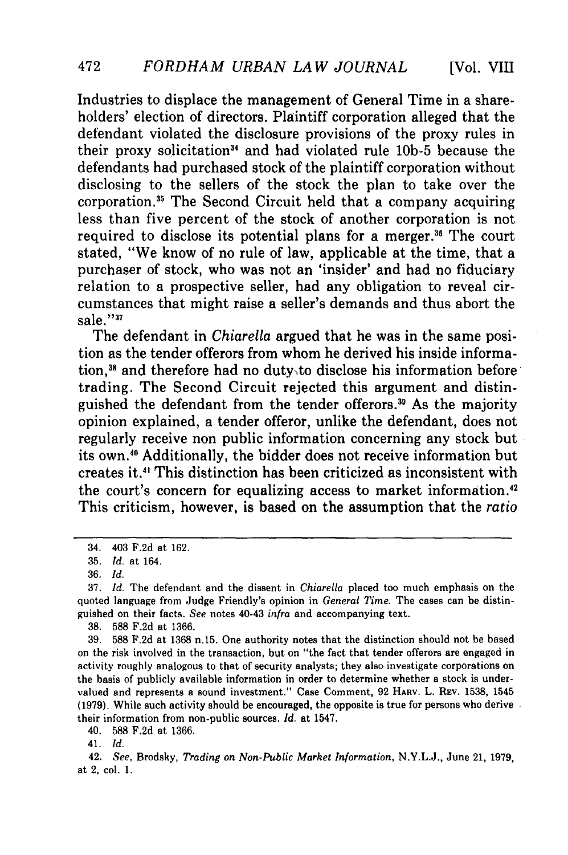Industries to displace the management of General Time in a shareholders' election of directors. Plaintiff corporation alleged that the defendant violated the disclosure provisions of the proxy rules in their proxy solicitation34 and had violated rule **10b-5** because the defendants had purchased stock of the plaintiff corporation without disclosing to the sellers of the stock the plan to take over the corporation. 5 The Second Circuit held that a company acquiring less than five percent of the stock of another corporation is not required to disclose its potential plans for a merger.<sup>36</sup> The court stated, "We know of no rule of law, applicable at the time, that a purchaser of stock, who was not an 'insider' and had no fiduciary relation to a prospective seller, had any obligation to reveal circumstances that might raise a seller's demands and thus abort the sale."37

The defendant in *Chiarella* argued that he was in the same position as the tender offerors from whom he derived his inside information,<sup>38</sup> and therefore had no duty<sub>b</sub>to disclose his information before trading. The Second Circuit rejected this argument and distinguished the defendant from the tender offerors.39 As the majority opinion explained, a tender offeror, unlike the defendant, does not regularly receive non public information concerning any stock but its own.4 0 Additionally, the bidder does not receive information but creates it.<sup>41</sup> This distinction has been criticized as inconsistent with the court's concern for equalizing access to market information.<sup>42</sup> This criticism, however, is based on the assumption that the *ratio*

472

<sup>34. 403</sup> F.2d at 162.

<sup>35.</sup> *Id.* at 164.

<sup>36.</sup> *Id.*

<sup>37.</sup> *Id.* The defendant and the dissent in *Chiarella* placed too much emphasis on the quoted language from Judge Friendly's opinion in *General Time.* The cases can be distinguished on their facts. *See* notes 40-43 *infra* and accompanying text.

<sup>38. 588</sup> F.2d at 1366.

<sup>39. 588</sup> F.2d at 1368 n.15. One authority notes that the distinction should not be based on the risk involved in the transaction, but on "the fact that tender offerors are engaged in activity roughly analogous to that of security analysts; they also investigate corporations on the basis of publicly available information in order to determine whether a stock is undervalued and represents a sound investment." Case Comment, 92 **HARV.** L. **REV. 1538,** 1545 (1979). While such activity should be encouraged, the opposite is true for persons who derive their information from non-public sources. *Id.* at 1547.

<sup>40. 588</sup> F.2d at 1366.

<sup>41.</sup> *Id.*

<sup>42.</sup> *See,* Brodsky, *Trading on Non-Public Market Information,* N.Y.L.J., June 21, 1979, at 2, col. 1.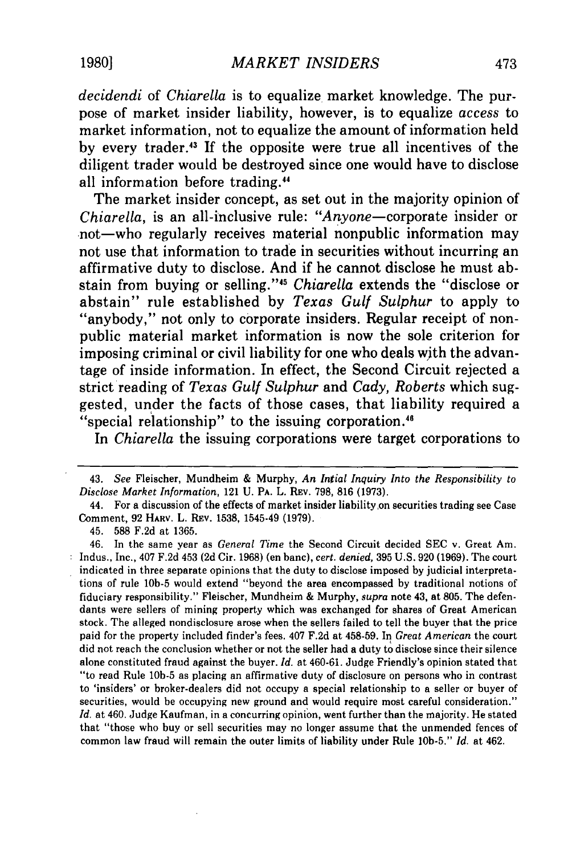*decidendi* of *Chiarella* is to equalize market knowledge. The purpose of market insider liability, however, is to equalize *access* to market information, not to equalize the amount of information held **by** every trader **. <sup>3</sup>**If the opposite were true all incentives of the diligent trader would be destroyed since one would have to disclose all information before trading.<sup>44</sup>

The market insider concept, as set out in the majority opinion of Chiarella, is an all-inclusive rule: "Anyone-corporate insider or not-who regularly receives material nonpublic information may not use that information to trade in securities without incurring an affirmative duty to disclose. And if he cannot disclose he must abstain from buying or selling." <sup>5</sup>*Chiarella* extends the "disclose or abstain" rule established **by** *Texas Gulf Sulphur* to apply to "anybody," not only to corporate insiders. Regular receipt of nonpublic material market information is now the sole criterion for imposing criminal or civil liability for one who deals with the advantage of inside information. In effect, the Second Circuit rejected a strict reading of *Texas Gulf Sulphur* and *Cady, Roberts* which suggested, under the facts of those cases, that liability required a "special relationship" to the issuing corporation."

In Chiarella the issuing corporations were target corporations to

45. 588 F.2d at 1365.

46. In the same year as *General Time* the Second Circuit decided SEC v. Great Am. Indus., Inc., 407 F.2d 453 (2d Cir. 1968) (en banc), *cert. denied,* 395 U.S. 920 (1969). The court indicated in three separate opinions that the duty to disclose imposed by judicial interpretations of rule **lOb-5** would extend "beyond the area encompassed by traditional notions of fiduciary responsibility." Fleischer, Mundheim & Murphy, *supra* note 43, at 805. The defendants were sellers of mining property which was exchanged for shares of Great American stock. The alleged nondisclosure arose when the sellers failed to tell the buyer that the price paid for the property included finder's fees. 407 F.2d at 458-59. In *Great American* the court did not reach the conclusion whether or not the seller had a duty to disclose since their silence alone constituted fraud against the buyer. *Id.* at 460-61. Judge Friendly's opinion stated that "to read Rule **10b-5** as placing an affirmative duty of disclosure on persons who in contrast to 'insiders' or broker-dealers did not occupy a special relationship to a seller or buyer of securities, would be occupying new ground and would require most careful consideration." *Id.* at 460. Judge Kaufman, in a concurring opinion, went further than the majority. He stated that "those who buy or sell securities may no longer assume that the unmended fences of common law fraud will remain the outer limits of liability under Rule **lOb-5."** *Id.* at 462.

<sup>43.</sup> *See* Fleischer, Mundheim & Murphy, *An Intial Inquiry Into the Responsibility to Disclose Market Information,* 121 U. PA. L. REv. 798, 816 (1973).

<sup>44.</sup> For a discussion of the effects of market insider liability on securities trading see Case Comment, 92 HARV. L. REv. 1538, 1545-49 (1979).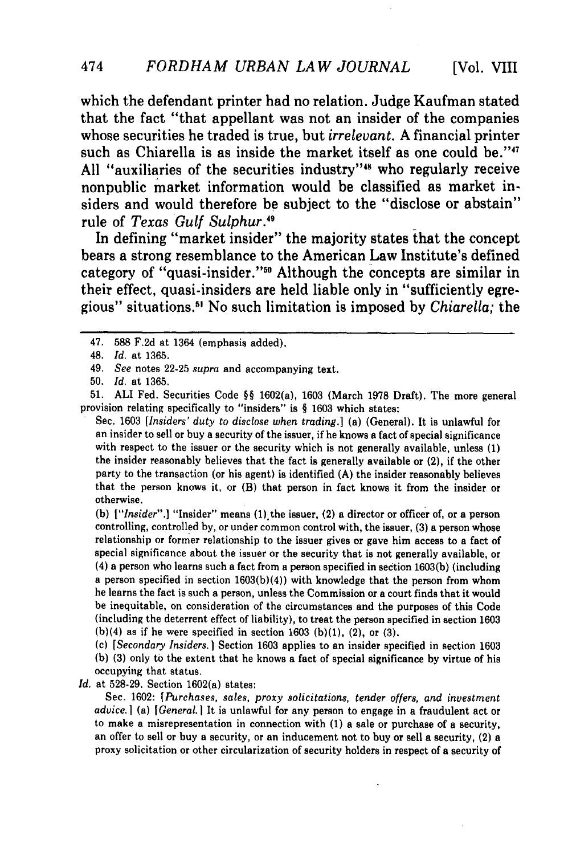which the defendant printer had no relation. Judge Kaufman stated that the fact "that appellant was not an insider of the companies whose securities he traded is true, but *irrelevant.* **A** financial printer such as Chiarella is as inside the market itself as one could be."<sup>47</sup> All "auxiliaries of the securities industry"<sup>48</sup> who regularly receive nonpublic market information would be classified as market insiders and would therefore be subject to the "disclose or abstain" rule of *Texas Gulf Sulphur."9*

In defining "market insider" the majority states that the concept bears a strong resemblance to the American Law Institute's defined category of "quasi-insider."50 Although the concepts are similar in their effect, quasi-insiders are held liable only in "sufficiently egregious" situations.5 No such limitation is imposed **by** *Chiarella;* the

Sec. 1603 *[Insiders' duty to disclose when trading.]* (a) (General). It is unlawful for an insider to sell or buy a security of the issuer, if he knows a fact of special significance with respect to the issuer or the security which is not generally available, unless **(1)** the insider reasonably believes that the fact is generally available or (2), if the other party to the transaction (or his agent) is identified **(A)** the insider reasonably believes that the person knows it, or (B) that person in fact knows it from the insider or otherwise.

**(b)** *["Insider".]* "Insider" means (1).the issuer, (2) a director or officer of, or a person controlling, controlled by, or under common control with, the issuer, **(3)** a person whose relationship or former relationship to the issuer gives or gave him access to a fact of special significance about the issuer or the security that is not generally available, or (4) a person who learns such a fact from a person specified in section 1603(b) (including a person specified in section **1603(b)(4))** with knowledge that the person from whom he learns the fact is such a person, unless the Commission or a court finds that it would be inequitable, on consideration of the circumstances and the purposes of this Code (including the deterrent effect of liability), to treat the person specified in section 1603  $(b)(4)$  as if he were specified in section 1603 (b)(1), (2), or (3).

(c) *[Secondary Insiders. ]* Section 1603 applies to an insider specified in section 1603 **(b) (3)** only to the extent that he knows a fact of special significance by virtue of his occupying that status.

*Id.* at 528-29. Section 1602(a) states:

Sec. 1602: *[Purchases, sales, proxy solicitations, tender* offers, *and investment advice.]* (a) *[General.]* It is unlawful for any person to engage in a fraudulent act or to make a misrepresentation in connection with **(1)** a sale or purchase of a security, an offer to sell or buy a security, or an inducement not to buy or sell a security, (2) a proxy solicitation or other circularization of security holders in respect of a security of

<sup>47. 588</sup> F.2d at 1364 (emphasis added).

<sup>48.</sup> *Id.* at 1365.

<sup>49.</sup> *See* notes 22-25 *supra* and accompanying text.

<sup>50.</sup> *Id.* at 1365.

<sup>51.</sup> ALl Fed. Securities Code §§ 1602(a), 1603 (March **1978** Draft). The more general provision relating specifically to "insiders" is § 1603 which states: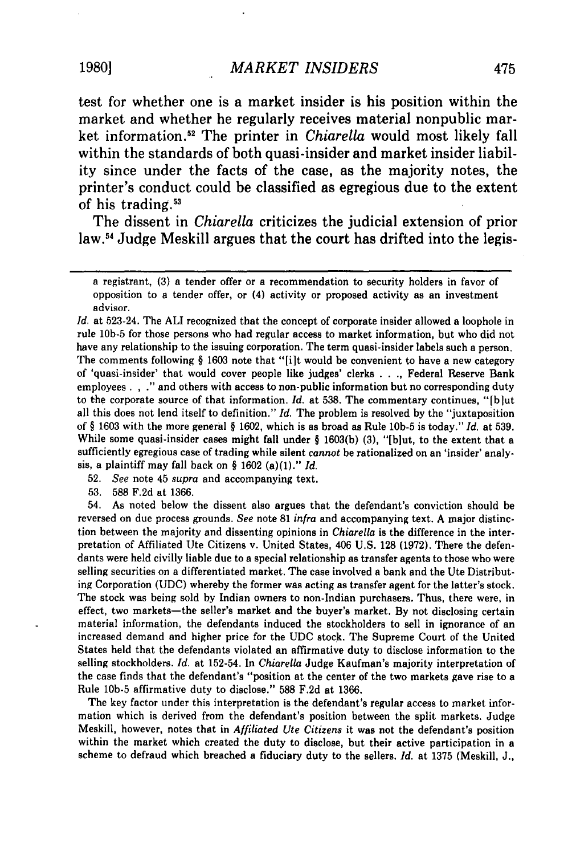test for whether one is a market insider is his position within the market and whether he regularly receives material nonpublic market information.52 The printer in *Chiarella* would most likely fall within the standards of both quasi-insider and market insider liability since under the facts of the case, as the majority notes, the printer's conduct could be classified as egregious due to the extent of his trading.<sup>53</sup>

The dissent in *Chiarella* criticizes the judicial extension of prior law.<sup>54</sup> Judge Meskill argues that the court has drifted into the legis-

*Id.* at 523-24. The **ALI** recognized that the concept of corporate insider allowed a loophole in rule **10b-5** for those persons who had regular access to market information, but who did not have any relationship to the issuing corporation. The term quasi-insider labels such a person. The comments following  $\S$  1603 note that "[i]t would be convenient to have a new category of 'quasi-insider' that would cover people like judges' clerks **... ,** Federal Reserve Bank employees . , **."** and others with access to non-public information but no corresponding duty to the corporate source of that information. *Id.* at 538. The commentary continues, "[b jut all this does not lend itself to definition." *Id.* The problem is resolved by the "juxtaposition of § 1603 with the more general § 1602, which is as broad as Rule **10b-5** is today." *Id.* at 539. While some quasi-insider cases might fall under § 1603(b) (3), "[b]ut, to the extent that a sufficiently egregious case of trading while silent *cannot* be rationalized on an 'insider' analysis, a plaintiff may fall back on § 1602 (a)(1)." *Id.*

52. *See* note 45 *supra* and accompanying text.

53. 588 F.2d at 1366.

54. As noted below the dissent also argues that the defendant's conviction should be reversed on due process grounds. *See* note **81** *infra* and accompanying text. **A** major distinction between the majority and dissenting opinions in *Chiaretia* is the difference in the interpretation of Affiliated Ute Citizens v. United States, 406 U.S. 128 (1972). There the defendants were held civilly liable due to a special relationship as transfer agents to those who were selling securities on a differentiated market. The case involved a bank and the Ute Distributing Corporation (UDC) whereby the former was acting as transfer agent for the latter's stock. The stock was being sold by Indian owners to non-Indian purchasers. Thus, there were, in effect, two markets-the seller's market and the buyer's market. By not disclosing certain material information, the defendants induced the stockholders to sell in ignorance of an increased demand and higher price for the UDC stock. The Supreme Court of the United States held that the defendants violated an affirmative duty to disclose information to the selling stockholders. *Id.* at 152-54. In *Chiarella* Judge Kaufman's majority interpretation of the case finds that the defendant's "position at the center of the two markets gave rise to a Rule **10b-5** affirmative duty to disclose." 588 F.2d at 1366.

The key factor under this interpretation is the defendant's regular access to market information which is derived from the defendant's position between the split markets. Judge Meskill, however, notes that in *Affiliated Ute Citizens* it was not the defendant's position within the market which created the duty to disclose, but their active participation in a scheme to defraud which breached a fiduciary duty to the sellers. *Id.* at 1375 (Meskill, J.,

a registrant, (3) a tender offer or a recommendation to security holders in favor of opposition to a tender offer, or (4) activity or proposed activity as an investment advisor.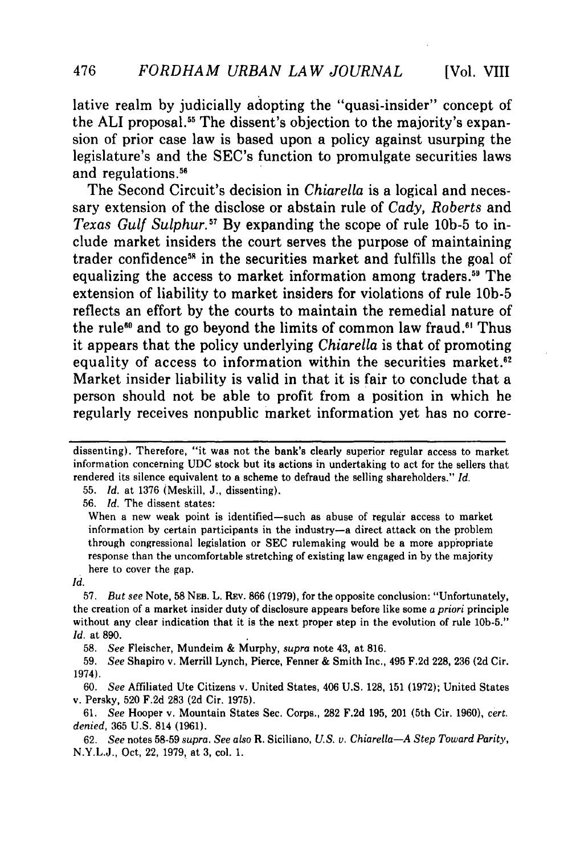lative realm **by** judicially adopting the "quasi-insider" concept of the ALI proposal.<sup>55</sup> The dissent's objection to the majority's expansion of prior case law is based upon a policy against usurping the legislature's and the SEC's function to promulgate securities laws and regulations.<sup>56</sup>

The Second Circuit's decision in *Chiarella* is a logical and necessary extension of the disclose or abstain rule of *Cady, Roberts* and *Texas Gulf Sulphur.57* **By** expanding the scope of rule **10b-5** to include market insiders the court serves the purpose of maintaining trader confidence<sup>58</sup> in the securities market and fulfills the goal of equalizing the access to market information among traders.<sup>59</sup> The extension of liability to market insiders for violations of rule **10b-5** reflects an effort **by** the courts to maintain the remedial nature of the rule<sup>60</sup> and to go beyond the limits of common law fraud.<sup>61</sup> Thus it appears that the policy underlying *Chiarella* is that of promoting equality of access to information within the securities market.<sup>62</sup> Market insider liability is valid in that it is fair to conclude that a person should not be able to profit from a position in which he regularly receives nonpublic market information yet has no corre-

55. *Id.* at 1376 (Meskill, J., dissenting).

56. Id. The dissent states:

When a new weak point is identified—such as abuse of regular access to market information **by** certain participants in the industry-a direct attack on the problem through congressional legislation or SEC rulemaking would be a more appropriate response than the uncomfortable stretching of existing law engaged in **by** the majority here to cover the gap.

*Id.*

57. *But see* Note, 58 NEB. L. REV. 866 (1979), for the opposite conclusion: "Unfortunately, the creation of a market insider duty of disclosure appears before like some a *priori* principle without any clear indication that it is the next proper step in the evolution of rule **10b-5."** *Id.* at 890.

58. *See* Fleischer, Mundeim & Murphy, *supra* note 43, at 816.

59. *See* Shapiro v. Merrill Lynch, Pierce, Fenner & Smith Inc., 495 F.2d 228, 236 (2d Cir. 1974).

60. *See* Affiliated Ute Citizens v. United States, 406 U.S. 128, 151 (1972); United States v. Persky, 520 F.2d 283 (2d Cir. 1975).

61. *See* Hooper v. Mountain States Sec. Corps., 282 F.2d 195, 201 (5th Cir. 1960), *cert. denied,* 365 U.S. 814 (1961).

62. *See* notes 58-59 *supra. See also* R. Siciliano, *U.S. v. Chiarella-A Step Toward Parity,* N.Y.L.J., Oct, 22, 1979, at 3, col. **1.**

dissenting). Therefore, "it was not the bank's clearly superior regular access to market information concerning UDC stock but its actions in undertaking to act for the sellers that rendered its silence equivalent to a scheme to defraud the selling shareholders." *Id.*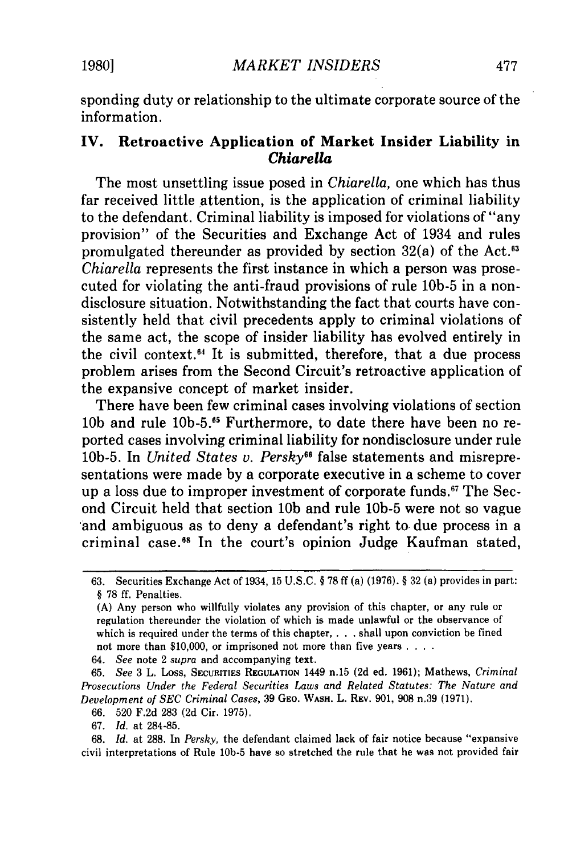**1980]**

sponding duty or relationship to the ultimate corporate source of the information.

# **IV. Retroactive Application of Market Insider Liability in** *Chiarella*

The most unsettling issue posed in *Chiarella,* one which has thus far received little attention, is the application of criminal liability to the defendant. Criminal liability is imposed for violations of "any provision" of the Securities and Exchange Act of 1934 and rules promulgated thereunder as provided **by** section 32(a) of the Act."3 *Chiarella* represents the first instance in which a person was prosecuted for violating the anti-fraud provisions of rule **10b-5** in a nondisclosure situation. Notwithstanding the fact that courts have consistently held that civil precedents apply to criminal violations of the same act, the scope of insider liability has evolved entirely in the civil context.<sup>64</sup> It is submitted, therefore, that a due process problem arises from the Second Circuit's retroactive application of the expansive concept of market insider.

There have been few criminal cases involving violations of section **10b** and rule **10b-5.15** Furthermore, to date there have been no reported cases involving criminal liability for nondisclosure under rule 10b-5. In *United States v. Persky"* false statements and misrepresentations were made by a corporate executive in a scheme to cover up a loss due to improper investment of corporate funds.<sup>67</sup> The Second Circuit held that section **10b** and rule **10b-5** were not so vague and ambiguous as to deny a defendant's right to due process in a criminal case.<sup>68</sup> In the court's opinion Judge Kaufman stated,

64. *See* note 2 *supra* and accompanying text.

65. *See* 3 L. Loss, SECUITIES REGULATION 1449 n.15 (2d ed. 1961); Mathews, *Criminal Prosecutions Under the Federal Securities Laws and Related Statutes: The Nature and Development of SEC Criminal Cases,* 39 GEo. **WASH.** L. REv. 901, 908 n.39 (1971).

66. 520 F.2d 283 (2d Cir. 1975).

67. *Id.* at 284-85.

68. *Id.* at 288. In *Persky,* the defendant claimed lack of fair notice because "expansive civil interpretations of Rule **10b-5** have so stretched the rule that he was not provided fair

<sup>63.</sup> Securities Exchange Act of 1934, 15 U.S.C. **§** 78 ff (a) (1976). **§** 32 (a) provides in part: **§** 78 **ff.** Penalties.

<sup>(</sup>A) Any person who willfully violates any provision of this chapter, or any rule or regulation thereunder the violation of which is made unlawful or the observance of which is required under the terms of this chapter, . **.** . shall upon conviction be fined not more than \$10,000, or imprisoned not more than five years **....**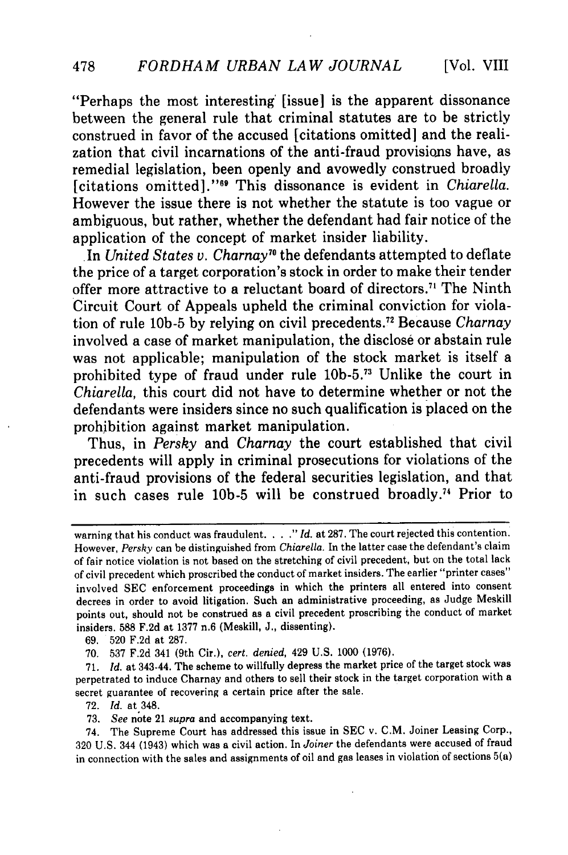"Perhaps the most interesting' [issue] is the apparent dissonance between the general rule that criminal statutes are to be strictly construed in favor of the accused [citations omitted] and the realization that civil incarnations of the anti-fraud provisions have, as remedial legislation, been openly and avowedly construed broadly [citations omitted].""9 This dissonance is evident in *Chiarella.* However the issue there is not whether the statute is too vague or ambiguous, but rather, whether the defendant had fair notice of the application of the concept of market insider liability.

In *United States v. Charnay*<sup>10</sup> the defendants attempted to deflate the price of a target corporation's stock in order to make their tender offer more attractive to a reluctant board of directors.7' The Ninth Circuit Court of Appeals upheld the criminal conviction for violation of rule **10b-5** by relying on civil precedents." Because *Charnay* involved a case of market manipulation, the disclose or abstain rule was not applicable; manipulation of the stock market is itself a prohibited type of fraud under rule 10b-5.73 Unlike the court in *Chiarella,* this court did not have to determine whether or not the defendants were insiders since no such qualification is placed on the prohibition against market manipulation.

Thus, in *Persky* and *Charnay* the court established that civil precedents will apply in criminal prosecutions for violations of the anti-fraud provisions of the federal securities legislation, and that in such cases rule **10b-5** will be construed broadly.74 Prior to

72. *Id.* at 348.

**73.** *See* note 21 *supra* and accompanying text.

warning that his conduct was fraudulent. . . ." Id. at 287. The court rejected this contention. However, *Persky* can be distinguished from *ChiareUa.* In the latter case the defendant's claim of fair notice violation is not based on the stretching of civil precedent, but on the total lack of civil precedent which proscribed the conduct of market insiders. The earlier "printer cases" involved SEC enforcement proceedings in which the printers all entered into consent decrees in order to avoid litigation. Such an administrative proceeding, as Judge Meskill points out, should not be construed as a civil precedent proscribing the conduct of market insiders. 588 F.2d at 1377 n.6 (Meskill, J., dissenting).

<sup>69. 520</sup> F.2d at 287.

<sup>70. 537</sup> F.2d 341 (9th Cir.), *cert. denied,* 429 U.S. 1000 (1976).

Id. at 343-44. The scheme to willfully depress the market price of the target stock was perpetrated to induce Charnay and others to sell their stock in the target corporation with a secret guarantee of recovering a certain price after the sale.

<sup>74.</sup> The Supreme Court has addressed this issue in **SEC** v. C.M. Joiner Leasing Corp., 320 U.S. 344 (1943) which was a civil action. In *Joiner* the defendants were accused of fraud in connection with the sales and assignments of oil and gas leases in violation of sections 5(a)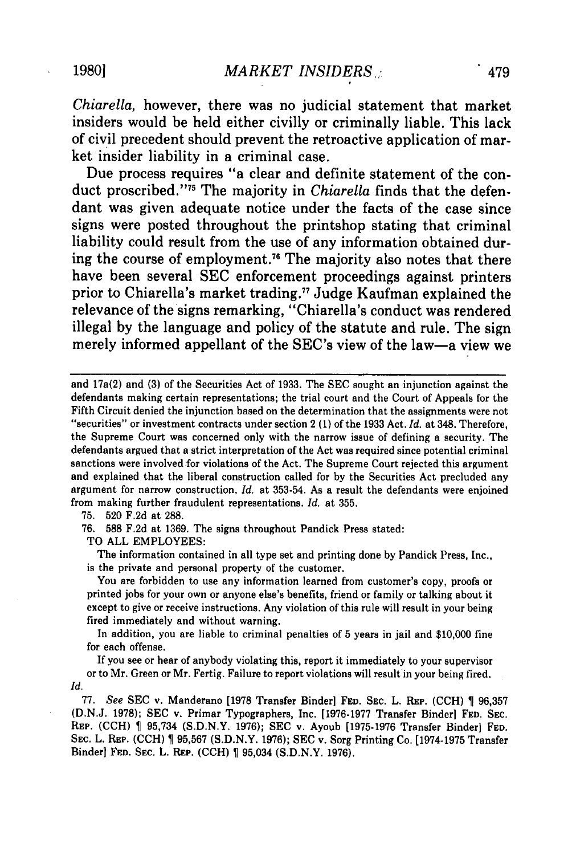*Chiarella,* however, there was no judicial statement that market insiders would be held either civilly or criminally liable. This lack of civil precedent should prevent the retroactive application of mar-

ket insider liability in a criminal case.

Due process requires **"a** clear and definite statement of the conduct proscribed."75 The majority in *Chiarella* finds that the defendant was given adequate notice under the facts of the case since signs were posted throughout the printshop stating that criminal liability could result from the use of any information obtained during the course of employment.76 The majority also notes that there have been several **SEC** enforcement proceedings against printers prior to Chiarella's market trading.77 Judge Kaufman explained the relevance of the signs remarking, "Chiarella's conduct was rendered illegal **by** the language and policy of the statute and rule. The sign merely informed appellant of the SEC's view of the law-a view we

and 17a(2) and (3) of the Securities Act of 1933. The SEC sought an injunction against the defendants making certain representations; the trial court and the Court of Appeals for the Fifth Circuit denied the injunction based on the determination that the assignments were not "securities" or investment contracts under section 2 (1) of the **1933** Act. *Id.* at 348. Therefore, the Supreme Court was concerned only with the narrow issue of defining a security. The defendants argued that a strict interpretation of the Act was required since potential criminal sanctions were involved 'for violations of the Act. The Supreme Court rejected this argument and explained that the liberal construction called for by the Securities Act precluded any argument for narrow construction. *Id.* at **353-54.** As a result the defendants were enjoined from making further fraudulent representations. *Id.* at **355.**

**75. 520** F.2d at **288.**

**76. 588** F.2d at **1369.** The signs throughout Pandick Press stated:

TO ALL EMPLOYEES:

The information contained in all type set and printing done by Pandick Press, Inc., is the private and personal property of the customer.

You are forbidden to use any information learned from customer's copy, proofs or printed jobs for your own or anyone else's benefits, friend or family or talking about it except to give or receive instructions. Any violation of this rule will result in your being fired immediately and without warning.

In addition, you are liable to criminal penalties of **5** years in jail and \$10,000 fine for each offense.

If you see or hear of anybody violating this, report it immediately to your supervisor or to Mr. Green or Mr. Fertig. Failure to report violations will result in your being fired. *Id.*

77. *See* SEC v. Manderano **[1978** Transfer Binder] **FED. SEC.** L. **REP. (CCH) 1 96,357** (D.N.J. **1978);** SEC v. Primar Typographers, Inc. **[1976-1977** Transfer Binder] **FED. SEC.** REP. **(CCH) 95,734** (S.D.N.Y. **1976);** SEC v. Ayoub **[1975-1976** Transfer Binder] **FED. SEC.** L. REP. (CCH) **95,567** (S.D.N.Y. **1976);** SEC v. Sorg Printing Co. **[1974-1975** Transfer Binder] **FED. SEC.** L. REP. (CCH) 95,034 **(S.D.N.Y. 1976).**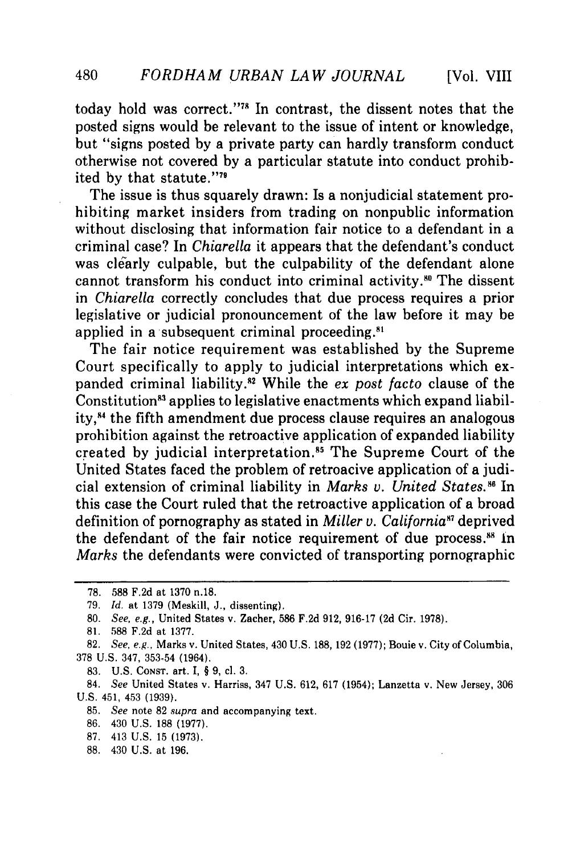today hold was correct."78 In contrast, the dissent notes that the posted signs would be relevant to the issue of intent or knowledge, but "signs posted by a private party can hardly transform conduct otherwise not covered by a particular statute into conduct prohibited by that statute."79

The issue is thus squarely drawn: Is a nonjudicial statement prohibiting market insiders from trading on nonpublic information without disclosing that information fair notice to a defendant in a criminal case? In *Chiarella* it appears that the defendant's conduct was clearly culpable, but the culpability of the defendant alone cannot transform his conduct into criminal activity."' The dissent in *Chiarella* correctly concludes that due process requires a prior legislative or judicial pronouncement of the law before it may be applied in a subsequent criminal proceeding."'

The fair notice requirement was established by the Supreme Court specifically to apply to judicial interpretations which expanded criminal liability.2 While the *ex post facto* clause of the Constitution<sup>83</sup> applies to legislative enactments which expand liability, 4 the fifth amendment due process clause requires an analogous prohibition against the retroactive application of expanded liability created by judicial interpretation.<sup>85</sup> The Supreme Court of the United States faced the problem of retroacive application of a judicial extension of criminal liability in *Marks v. United States."* In this case the Court ruled that the retroactive application of a broad definition of pornography as stated in *Miller v. California"* deprived the defendant of the fair notice requirement of due process.<sup>88</sup> in *Marks* the defendants were convicted of transporting pornographic

83. U.S. CONST. art. I, § 9, cl. 3.

<sup>78. 588</sup> F.2d at 1370 n.18.

<sup>79.</sup> *Id.* at 1379 (Meskill, J., dissenting).

<sup>80.</sup> *See, e.g.,* United States v. Zacher, 586 F.2d 912, 916-17 (2d Cir. 1978).

<sup>81. 588</sup> F.2d at 1377.

<sup>82.</sup> *See, e.g.,* Marks v. United States, 430 U.S. 188, 192 **(1977);** Bouie v. City of Columbia, 378 U.S. 347, 353-54 (1964).

<sup>84.</sup> *See* United States v. Harriss, 347 U.S. 612, 617 (1954); Lanzetta v. New Jersey, 306 U.S. 451, 453 (1939).

<sup>85.</sup> *See* note 82 supra and accompanying text.

<sup>86. 430</sup> U.S. 188 (1977).

<sup>87. 413</sup> U.S. 15 (1973).

<sup>88. 430</sup> U.S. at 196.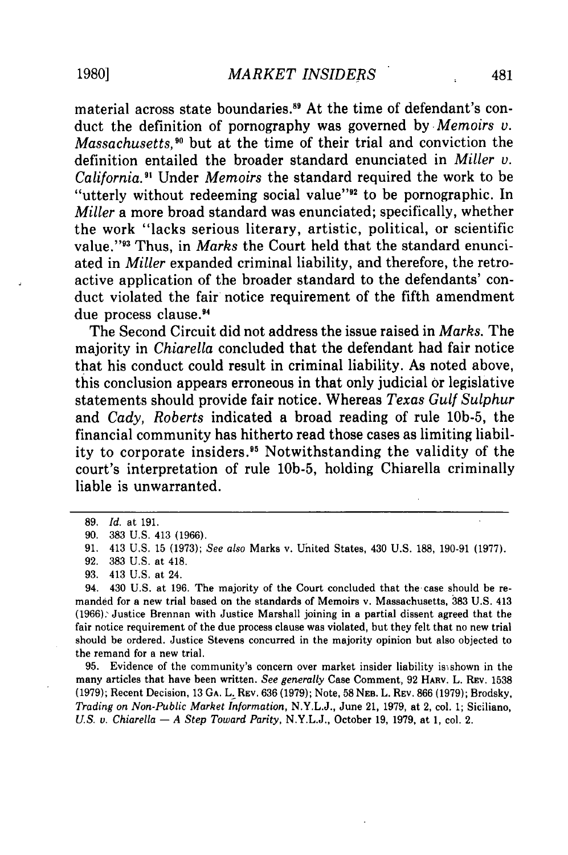material across state boundaries.<sup>89</sup> At the time of defendant's conduct the definition of pornography was governed by *Memoirs v. Massachusetts,"°* but at the time of their trial and conviction the definition entailed the broader standard enunciated in *Miller v. California.9'* Under *Memoirs* the standard required the work to be "utterly without redeeming social value" $92$  to be pornographic. In *Miller* a more broad standard was enunciated; specifically, whether the work "lacks serious literary, artistic, political, or scientific value."93 Thus, in *Marks* the Court held that the standard enunciated in *Miller* expanded criminal liability, and therefore, the retroactive application of the broader standard to the defendants' conduct violated the fair notice requirement of the fifth amendment due process clause.

The Second Circuit did not address the issue raised in *Marks.* The majority in *Chiarella* concluded that the defendant had fair notice that his conduct could result in criminal liability. As noted above, this conclusion appears erroneous in that only judicial or legislative statements should provide fair notice. Whereas *Texas Gulf Sulphur* and *Cady, Roberts* indicated a broad reading of rule 10b-5, the financial community has hitherto read those cases as limiting liability to corporate insiders.<sup>95</sup> Notwithstanding the validity of the court's interpretation of rule 10b-5, holding Chiarella criminally liable is unwarranted.

94. 430 U.S. at 196. The majority of the Court concluded that the case should be remanded for a new trial based on the standards of Memoirs v. Massachusetts, 383 U.S. 413 (1966). Justice Brennan with Justice Marshall joining in a partial dissent agreed that the fair notice requirement of the due process clause was violated, but they felt that no new trial should be ordered. Justice Stevens concurred in the majority opinion but also objected to the remand for a new trial.

95. Evidence of the community's concern over market insider liability isishown in the many articles that have been written. *See generally* Case Comment, 92 HARV. L. REV. 1538 (1979); Recent Decision, 13 **GA.** L. REV. 636 (1979); Note, 58 NEB. L. **REV.** 866 (1979); Brodsky, *Trading on Non-Public Market Information,* N.Y.L.J., June 21, 1979, at 2, col. 1; Siciliano, *U.S. v. Chiarella* - *A Step Toward Parity,* N.Y.L.J., October 19, 1979, at 1, col. 2.

<sup>89.</sup> *Id.* at **191.**

<sup>90. 383</sup> U.S. 413 (1966).

<sup>91. 413</sup> U.S. 15 (1973); *See also* Marks v. United States, 430 U.S. 188, 190-91 (1977).

<sup>92. 383</sup> U.S. at 418.

<sup>93. 413</sup> U.S. at 24.